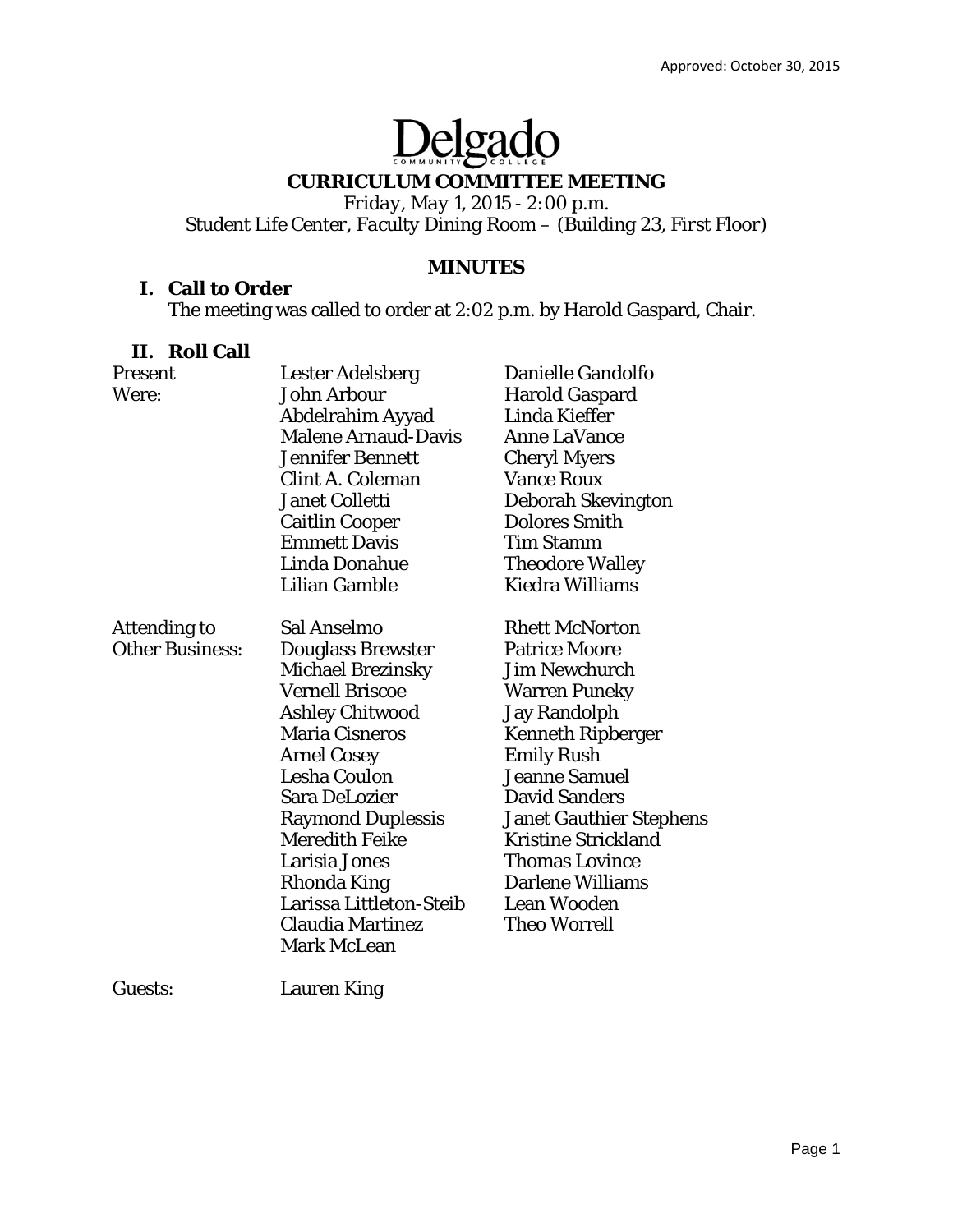# Delgado

# **CURRICULUM COMMITTEE MEETING**

*Friday, May 1, 2015 - 2:00 p.m. Student Life Center, Faculty Dining Room – (Building 23, First Floor)* 

# **MINUTES**

# **I. Call to Order**

The meeting was called to order at 2:02 p.m. by Harold Gaspard, Chair.

## **II. Roll Call**

| Present                | <b>Lester Adelsberg</b>    | Danielle Gandolfo              |
|------------------------|----------------------------|--------------------------------|
| Were:                  | John Arbour                | <b>Harold Gaspard</b>          |
|                        | Abdelrahim Ayyad           | Linda Kieffer                  |
|                        | <b>Malene Arnaud-Davis</b> | <b>Anne LaVance</b>            |
|                        | <b>Jennifer Bennett</b>    | <b>Cheryl Myers</b>            |
|                        | <b>Clint A. Coleman</b>    | <b>Vance Roux</b>              |
|                        | <b>Janet Colletti</b>      | Deborah Skevington             |
|                        | <b>Caitlin Cooper</b>      | <b>Dolores Smith</b>           |
|                        | <b>Emmett Davis</b>        | Tim Stamm                      |
|                        | Linda Donahue              | <b>Theodore Walley</b>         |
|                        | Lilian Gamble              | Kiedra Williams                |
| Attending to           | Sal Anselmo                | <b>Rhett McNorton</b>          |
| <b>Other Business:</b> | <b>Douglass Brewster</b>   | <b>Patrice Moore</b>           |
|                        | <b>Michael Brezinsky</b>   | Jim Newchurch                  |
|                        | <b>Vernell Briscoe</b>     | <b>Warren Puneky</b>           |
|                        | <b>Ashley Chitwood</b>     | <b>Jay Randolph</b>            |
|                        | <b>Maria Cisneros</b>      | <b>Kenneth Ripberger</b>       |
|                        | <b>Arnel Cosey</b>         | <b>Emily Rush</b>              |
|                        | Lesha Coulon               | <b>Jeanne Samuel</b>           |
|                        | Sara DeLozier              | <b>David Sanders</b>           |
|                        | <b>Raymond Duplessis</b>   | <b>Janet Gauthier Stephens</b> |
|                        | <b>Meredith Feike</b>      | <b>Kristine Strickland</b>     |
|                        | Larisia Jones              | Thomas Lovince                 |
|                        | Rhonda King                | <b>Darlene Williams</b>        |
|                        | Larissa Littleton-Steib    | <b>Lean Wooden</b>             |
|                        | Claudia Martinez           | Theo Worrell                   |
|                        | <b>Mark McLean</b>         |                                |
|                        |                            |                                |

Guests: Lauren King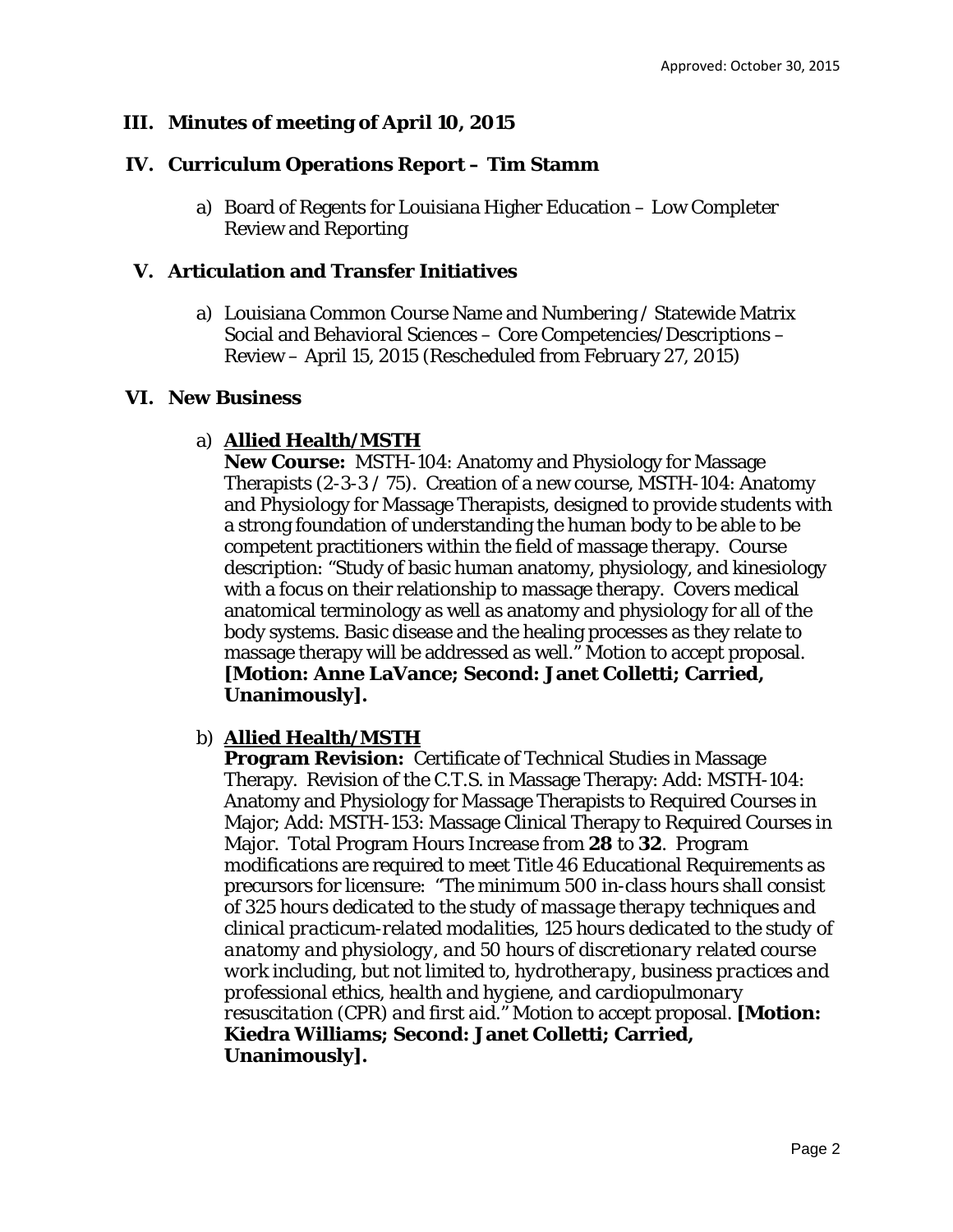## **III. Minutes of meeting of April 10, 2015**

#### **IV. Curriculum Operations Report – Tim Stamm**

a) Board of Regents for Louisiana Higher Education – Low Completer Review and Reporting

#### **V. Articulation and Transfer Initiatives**

a) Louisiana Common Course Name and Numbering / Statewide Matrix Social and Behavioral Sciences – Core Competencies/Descriptions – Review – April 15, 2015 (Rescheduled from February 27, 2015)

#### **VI. New Business**

#### a) **Allied Health/MSTH**

**New Course:** MSTH-104: Anatomy and Physiology for Massage Therapists (2-3-3 / 75). Creation of a new course, MSTH-104: Anatomy and Physiology for Massage Therapists, designed to provide students with a strong foundation of understanding the human body to be able to be competent practitioners within the field of massage therapy. Course description: "Study of basic human anatomy, physiology, and kinesiology with a focus on their relationship to massage therapy. Covers medical anatomical terminology as well as anatomy and physiology for all of the body systems. Basic disease and the healing processes as they relate to massage therapy will be addressed as well." Motion to accept proposal. **[Motion: Anne LaVance; Second: Janet Colletti; Carried, Unanimously].** 

#### b) **Allied Health/MSTH**

**Program Revision:** Certificate of Technical Studies in Massage Therapy. Revision of the C.T.S. in Massage Therapy: Add: MSTH-104: Anatomy and Physiology for Massage Therapists to Required Courses in Major; Add: MSTH-153: Massage Clinical Therapy to Required Courses in Major. Total Program Hours Increase *from* **28** *to* **32**. Program modifications are required to meet Title 46 Educational Requirements as precursors for licensure: "*The minimum 500 in-class hours shall consist of 325 hours dedicated to the study of massage therapy techniques and clinical practicum-related modalities, 125 hours dedicated to the study of anatomy and physiology, and 50 hours of discretionary related course work including, but not limited to, hydrotherapy, business practices and professional ethics, health and hygiene, and cardiopulmonary resuscitation (CPR) and first aid."* Motion to accept proposal. **[Motion: Kiedra Williams; Second: Janet Colletti; Carried, Unanimously].**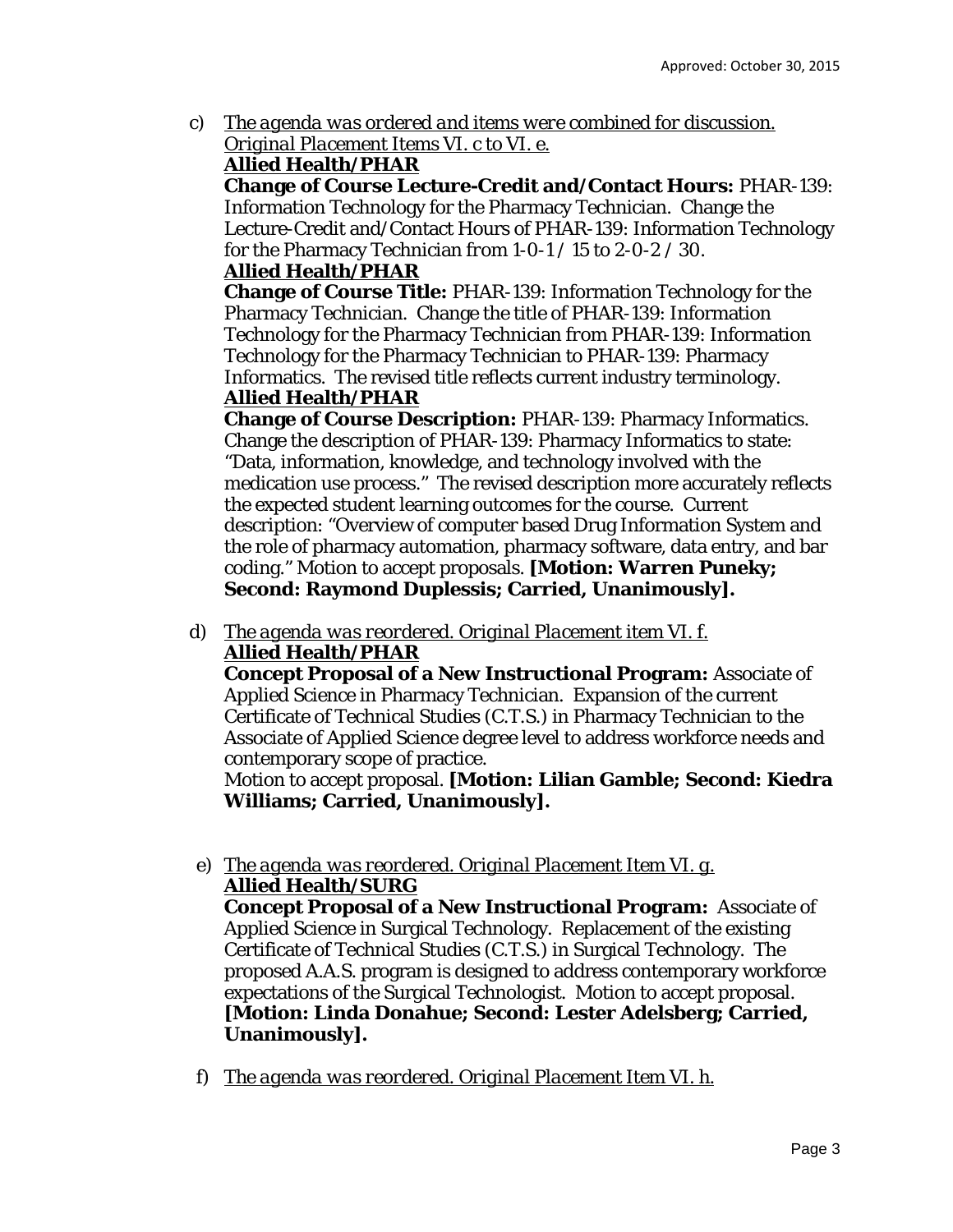c) *The agenda was ordered and items were combined for discussion. Original Placement Items VI. c to VI. e.* 

## **Allied Health/PHAR**

**Change of Course Lecture-Credit and/Contact Hours:** PHAR-139: Information Technology for the Pharmacy Technician. Change the Lecture-Credit and/Contact Hours of PHAR-139: Information Technology for the Pharmacy Technician *from* 1-0-1 / 15 *to* 2-0-2 / 30.

## **Allied Health/PHAR**

**Change of Course Title:** PHAR-139: Information Technology for the Pharmacy Technician. Change the title of PHAR-139: Information Technology for the Pharmacy Technician *from* PHAR-139: Information Technology for the Pharmacy Technician *to* PHAR-139: Pharmacy Informatics. The revised title reflects current industry terminology. **Allied Health/PHAR** 

**Change of Course Description:** PHAR-139: Pharmacy Informatics. Change the description of PHAR-139: Pharmacy Informatics to state: "Data, information, knowledge, and technology involved with the medication use process." The revised description more accurately reflects the expected student learning outcomes for the course. Current description: "Overview of computer based Drug Information System and the role of pharmacy automation, pharmacy software, data entry, and bar coding." Motion to accept proposals. **[Motion: Warren Puneky; Second: Raymond Duplessis; Carried, Unanimously].** 

d) *The agenda was reordered. Original Placement item VI. f.*  **Allied Health/PHAR** 

**Concept Proposal of a New Instructional Program:** Associate of Applied Science in Pharmacy Technician. Expansion of the current Certificate of Technical Studies (C.T.S.) in Pharmacy Technician to the Associate of Applied Science degree level to address workforce needs and contemporary scope of practice.

Motion to accept proposal. **[Motion: Lilian Gamble; Second: Kiedra Williams; Carried, Unanimously].** 

e) *The agenda was reordered. Original Placement Item VI. g.*  **Allied Health/SURG** 

**Concept Proposal of a New Instructional Program:** Associate of Applied Science in Surgical Technology. Replacement of the existing Certificate of Technical Studies (C.T.S.) in Surgical Technology. The proposed A.A.S. program is designed to address contemporary workforce expectations of the Surgical Technologist. Motion to accept proposal. **[Motion: Linda Donahue; Second: Lester Adelsberg; Carried, Unanimously].** 

f) *The agenda was reordered. Original Placement Item VI. h.*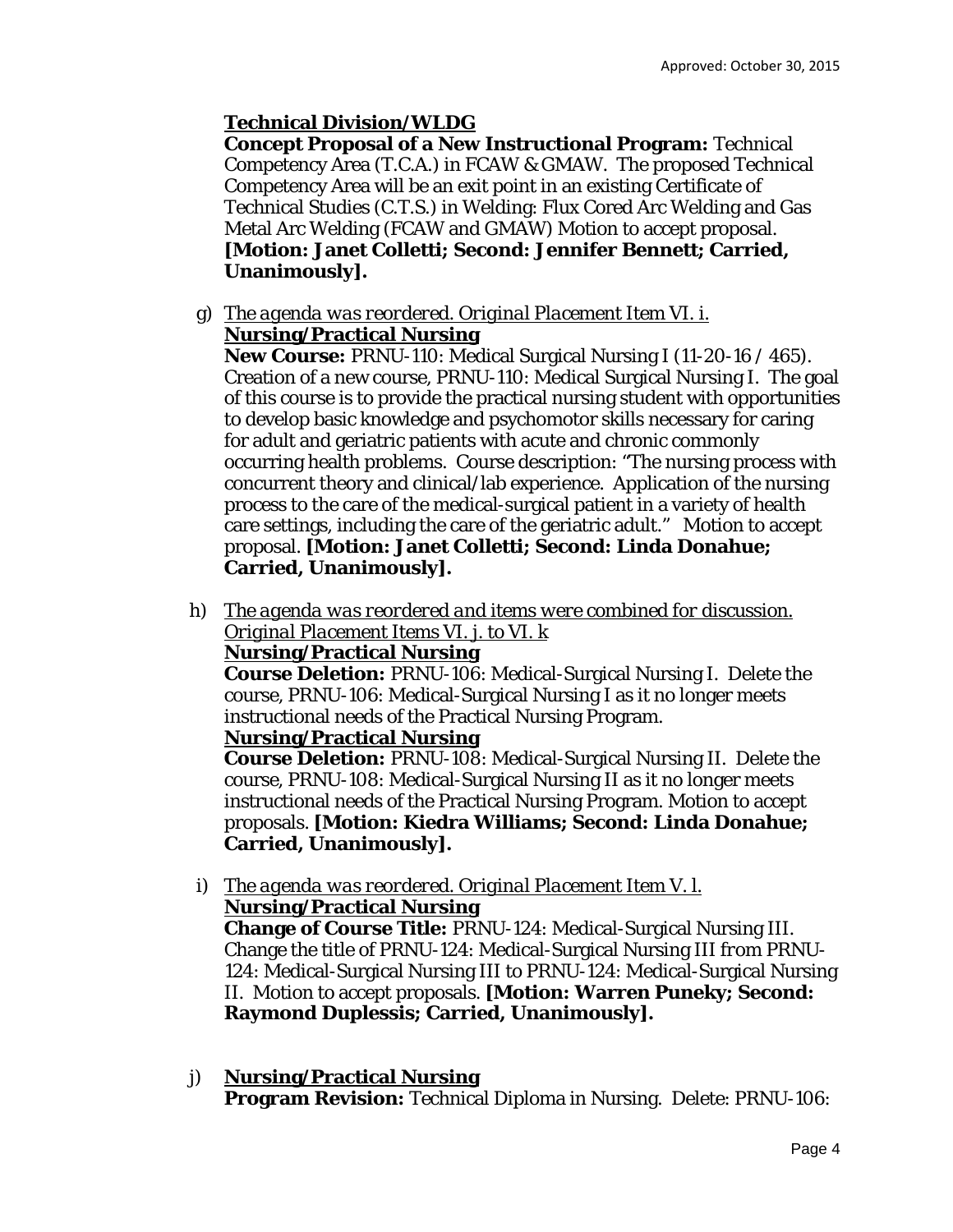# **Technical Division/WLDG**

**Concept Proposal of a New Instructional Program:** Technical Competency Area (T.C.A.) in FCAW & GMAW. The proposed Technical Competency Area will be an exit point in an existing Certificate of Technical Studies (C.T.S.) in Welding: Flux Cored Arc Welding and Gas Metal Arc Welding (FCAW and GMAW) Motion to accept proposal. **[Motion: Janet Colletti; Second: Jennifer Bennett; Carried, Unanimously].** 

g) T*he agenda was reordered. Original Placement Item VI. i.* **Nursing/Practical Nursing** 

**New Course:** PRNU-110: Medical Surgical Nursing I (11-20-16 / 465). Creation of a new course, PRNU-110: Medical Surgical Nursing I. The goal of this course is to provide the practical nursing student with opportunities to develop basic knowledge and psychomotor skills necessary for caring for adult and geriatric patients with acute and chronic commonly occurring health problems. Course description: "The nursing process with concurrent theory and clinical/lab experience. Application of the nursing process to the care of the medical-surgical patient in a variety of health care settings, including the care of the geriatric adult." Motion to accept proposal. **[Motion: Janet Colletti; Second: Linda Donahue; Carried, Unanimously].** 

h) *The agenda was reordered and items were combined for discussion. Original Placement Items VI. j. to VI. k* 

# **Nursing/Practical Nursing**

**Course Deletion:** PRNU-106: Medical-Surgical Nursing I. Delete the course, PRNU-106: Medical-Surgical Nursing I as it no longer meets instructional needs of the Practical Nursing Program.

## **Nursing/Practical Nursing**

**Course Deletion:** PRNU-108: Medical-Surgical Nursing II. Delete the course, PRNU-108: Medical-Surgical Nursing II as it no longer meets instructional needs of the Practical Nursing Program. Motion to accept proposals. **[Motion: Kiedra Williams; Second: Linda Donahue; Carried, Unanimously].** 

i) *The agenda was reordered. Original Placement Item V. l.*  **Nursing/Practical Nursing** 

**Change of Course Title:** PRNU-124: Medical-Surgical Nursing III. Change the title of PRNU-124: Medical-Surgical Nursing III *from* PRNU-124: Medical-Surgical Nursing III *to* PRNU-124: Medical-Surgical Nursing II. Motion to accept proposals. **[Motion: Warren Puneky; Second: Raymond Duplessis; Carried, Unanimously].** 

j) **Nursing/Practical Nursing Program Revision:** Technical Diploma in Nursing. Delete: PRNU-106: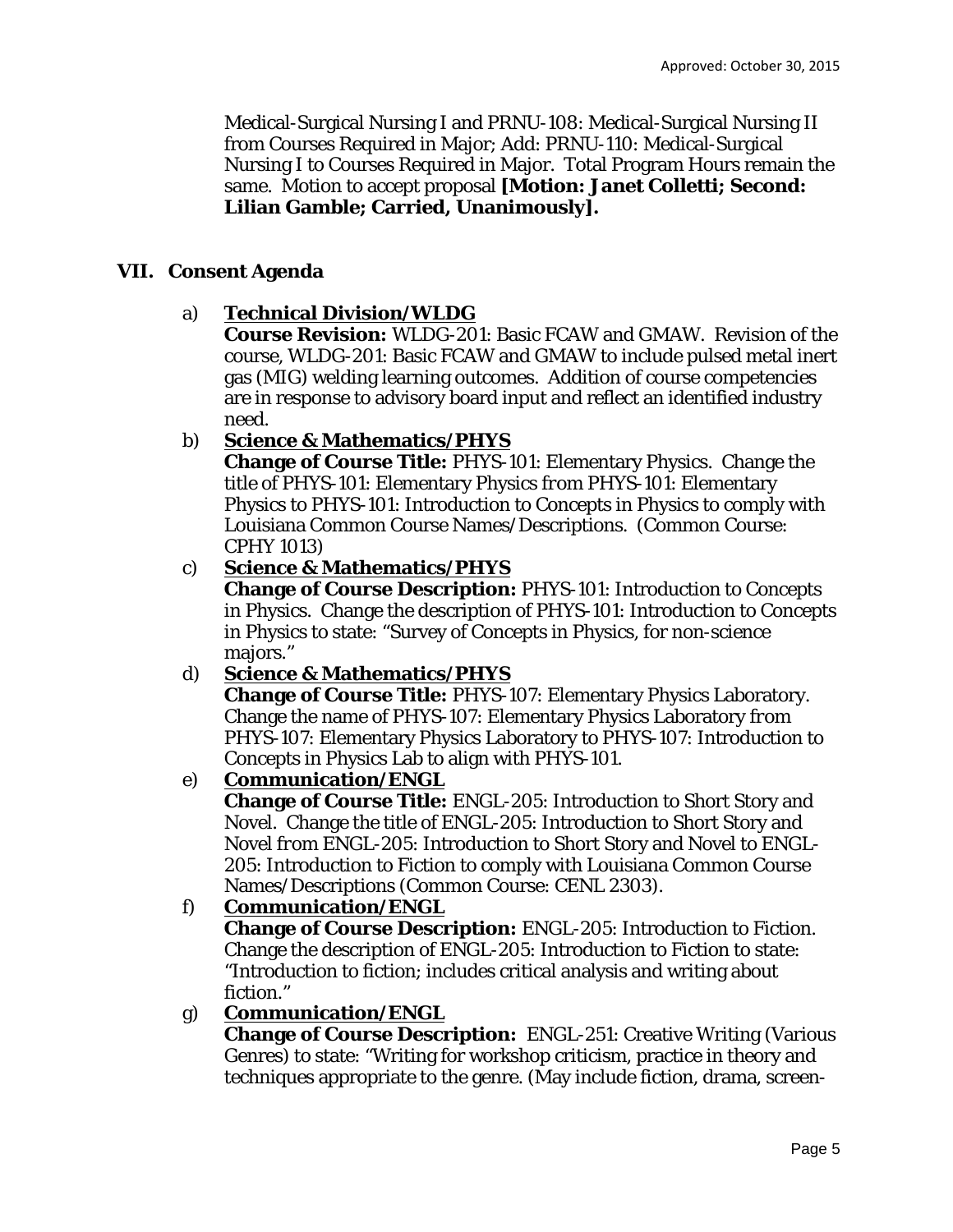Medical-Surgical Nursing I and PRNU-108: Medical-Surgical Nursing II from Courses Required in Major; Add: PRNU-110: Medical-Surgical Nursing I to Courses Required in Major. Total Program Hours remain the same. Motion to accept proposal **[Motion: Janet Colletti; Second: Lilian Gamble; Carried, Unanimously].** 

## **VII. Consent Agenda**

## a) **Technical Division/WLDG**

**Course Revision:** WLDG-201: Basic FCAW and GMAW. Revision of the course, WLDG-201: Basic FCAW and GMAW to include pulsed metal inert gas (MIG) welding learning outcomes. Addition of course competencies are in response to advisory board input and reflect an identified industry need.

# b) **Science & Mathematics/PHYS**

**Change of Course Title:** PHYS-101: Elementary Physics. Change the title of PHYS-101: Elementary Physics *from* PHYS-101: Elementary Physics *to* PHYS-101: Introduction to Concepts in Physics to comply with Louisiana Common Course Names/Descriptions. (Common Course: CPHY 1013)

# c) **Science & Mathematics/PHYS**

**Change of Course Description:** PHYS-101: Introduction to Concepts in Physics. Change the description of PHYS-101: Introduction to Concepts in Physics to state: "Survey of Concepts in Physics, for non-science majors."

# d) **Science & Mathematics/PHYS**

**Change of Course Title:** PHYS-107: Elementary Physics Laboratory. Change the name of PHYS-107: Elementary Physics Laboratory *from*  PHYS-107: Elementary Physics Laboratory *to* PHYS-107: Introduction to Concepts in Physics Lab to align with PHYS-101.

# e) **Communication/ENGL**

**Change of Course Title:** ENGL-205: Introduction to Short Story and Novel. Change the title of ENGL-205: Introduction to Short Story and Novel *from* ENGL-205: Introduction to Short Story and Novel *to* ENGL-205: Introduction to Fiction to comply with Louisiana Common Course Names/Descriptions (Common Course: CENL 2303).

# f) **Communication/ENGL**

**Change of Course Description:** ENGL-205: Introduction to Fiction. Change the description of ENGL-205: Introduction to Fiction to state: "Introduction to fiction; includes critical analysis and writing about fiction."

# g) **Communication/ENGL**

**Change of Course Description:** ENGL-251: Creative Writing (Various Genres) to state: "Writing for workshop criticism, practice in theory and techniques appropriate to the genre. (May include fiction, drama, screen